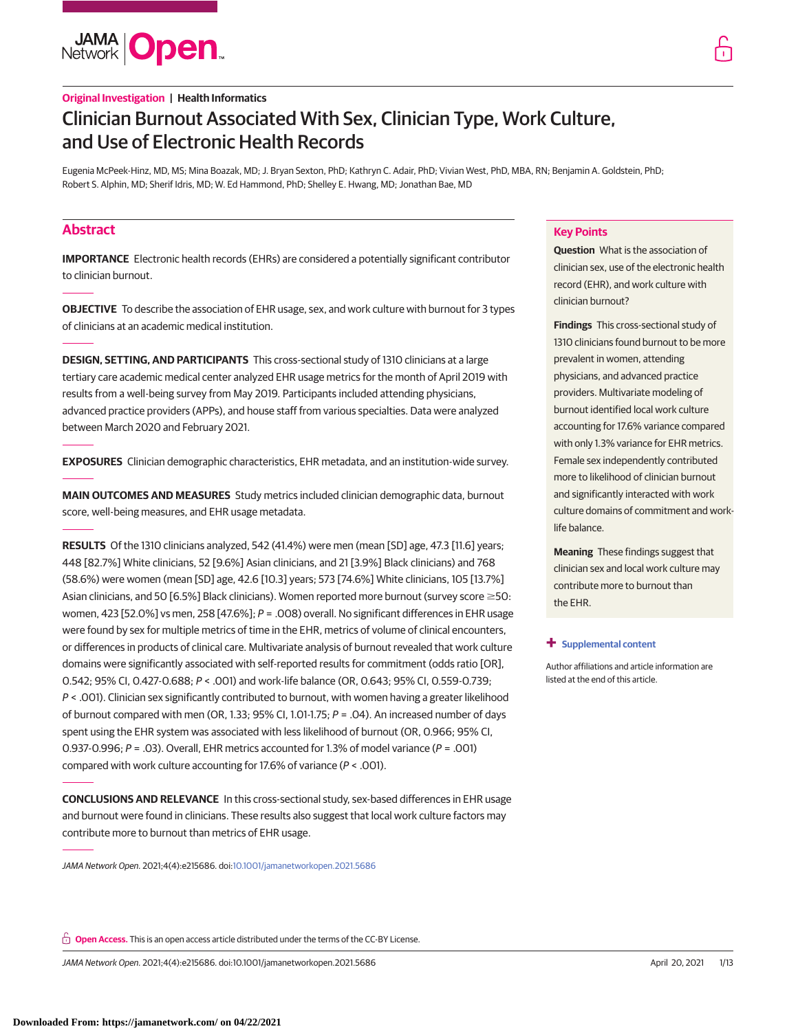**JAMA Open** 

# Clinician Burnout Associated With Sex, Clinician Type, Work Culture, and Use of Electronic Health Records

Eugenia McPeek-Hinz, MD, MS; Mina Boazak, MD; J. Bryan Sexton, PhD; Kathryn C. Adair, PhD; Vivian West, PhD, MBA, RN; Benjamin A. Goldstein, PhD; Robert S. Alphin, MD; Sherif Idris, MD; W. Ed Hammond, PhD; Shelley E. Hwang, MD; Jonathan Bae, MD

# **Abstract**

**IMPORTANCE** Electronic health records (EHRs) are considered a potentially significant contributor to clinician burnout.

**OBJECTIVE** To describe the association of EHR usage, sex, and work culture with burnout for 3 types of clinicians at an academic medical institution.

**DESIGN, SETTING, AND PARTICIPANTS** This cross-sectional study of 1310 clinicians at a large tertiary care academic medical center analyzed EHR usage metrics for the month of April 2019 with results from a well-being survey from May 2019. Participants included attending physicians, advanced practice providers (APPs), and house staff from various specialties. Data were analyzed between March 2020 and February 2021.

**EXPOSURES** Clinician demographic characteristics, EHR metadata, and an institution-wide survey.

**MAIN OUTCOMES AND MEASURES** Study metrics included clinician demographic data, burnout score, well-being measures, and EHR usage metadata.

**RESULTS** Of the 1310 clinicians analyzed, 542 (41.4%) were men (mean [SD] age, 47.3 [11.6] years; 448 [82.7%] White clinicians, 52 [9.6%] Asian clinicians, and 21 [3.9%] Black clinicians) and 768 (58.6%) were women (mean [SD] age, 42.6 [10.3] years; 573 [74.6%] White clinicians, 105 [13.7%] Asian clinicians, and 50 [6.5%] Black clinicians). Women reported more burnout (survey score  $\geq$ 50: women, 423 [52.0%] vs men, 258 [47.6%]; P = .008) overall. No significant differences in EHR usage were found by sex for multiple metrics of time in the EHR, metrics of volume of clinical encounters, or differences in products of clinical care. Multivariate analysis of burnout revealed that work culture domains were significantly associated with self-reported results for commitment (odds ratio [OR], 0.542; 95% CI, 0.427-0.688; P < .001) and work-life balance (OR, 0.643; 95% CI, 0.559-0.739;  $P <$  .001). Clinician sex significantly contributed to burnout, with women having a greater likelihood of burnout compared with men (OR, 1.33; 95% CI, 1.01-1.75;  $P = .04$ ). An increased number of days spent using the EHR system was associated with less likelihood of burnout (OR, 0.966; 95% CI, 0.937-0.996;  $P = .03$ ). Overall, EHR metrics accounted for 1.3% of model variance ( $P = .001$ ) compared with work culture accounting for 17.6% of variance (P < .001).

**CONCLUSIONS AND RELEVANCE** In this cross-sectional study, sex-based differences in EHR usage and burnout were found in clinicians. These results also suggest that local work culture factors may contribute more to burnout than metrics of EHR usage.

JAMA Network Open. 2021;4(4):e215686. doi[:10.1001/jamanetworkopen.2021.5686](https://jama.jamanetwork.com/article.aspx?doi=10.1001/jamanetworkopen.2021.5686&utm_campaign=articlePDF%26utm_medium=articlePDFlink%26utm_source=articlePDF%26utm_content=jamanetworkopen.2021.5686)

**Open Access.** This is an open access article distributed under the terms of the CC-BY License.

JAMA Network Open. 2021;4(4):e215686. doi:10.1001/jamanetworkopen.2021.5686 (Reprinted) April 20, 2021 1/13

# **Key Points**

**Question** What is the association of clinician sex, use of the electronic health record (EHR), and work culture with clinician burnout?

**Findings** This cross-sectional study of 1310 clinicians found burnout to be more prevalent in women, attending physicians, and advanced practice providers. Multivariate modeling of burnout identified local work culture accounting for 17.6% variance compared with only 1.3% variance for EHR metrics. Female sex independently contributed more to likelihood of clinician burnout and significantly interacted with work culture domains of commitment and worklife balance.

**Meaning** These findings suggest that clinician sex and local work culture may contribute more to burnout than the EHR.

#### **+ [Supplemental content](https://jama.jamanetwork.com/article.aspx?doi=10.1001/jamanetworkopen.2021.5686&utm_campaign=articlePDF%26utm_medium=articlePDFlink%26utm_source=articlePDF%26utm_content=jamanetworkopen.2021.5686)**

Author affiliations and article information are listed at the end of this article.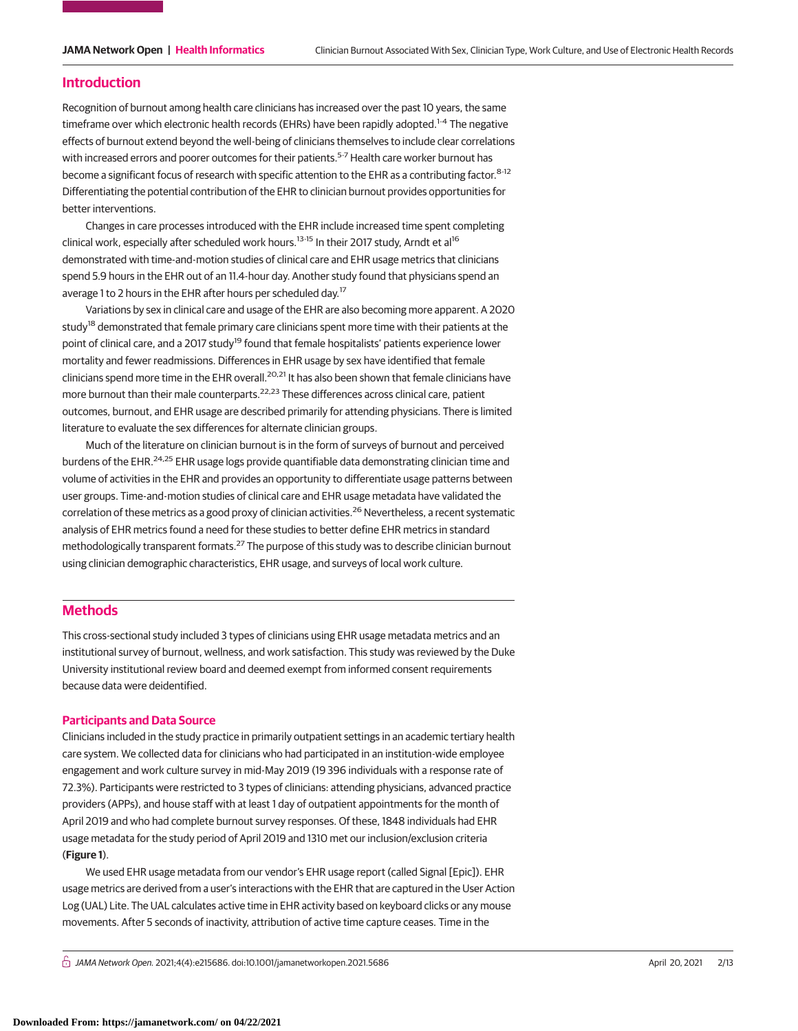### **Introduction**

Recognition of burnout among health care clinicians has increased over the past 10 years, the same timeframe over which electronic health records (EHRs) have been rapidly adopted.<sup>1-4</sup> The negative effects of burnout extend beyond the well-being of clinicians themselves to include clear correlations with increased errors and poorer outcomes for their patients.<sup>5-7</sup> Health care worker burnout has become a significant focus of research with specific attention to the EHR as a contributing factor.<sup>8-12</sup> Differentiating the potential contribution of the EHR to clinician burnout provides opportunities for better interventions.

Changes in care processes introduced with the EHR include increased time spent completing clinical work, especially after scheduled work hours.<sup>13-15</sup> In their 2017 study, Arndt et al<sup>16</sup> demonstrated with time-and-motion studies of clinical care and EHR usage metrics that clinicians spend 5.9 hours in the EHR out of an 11.4-hour day. Another study found that physicians spend an average 1 to 2 hours in the EHR after hours per scheduled day.<sup>17</sup>

Variations by sex in clinical care and usage of the EHR are also becoming more apparent. A 2020 study<sup>18</sup> demonstrated that female primary care clinicians spent more time with their patients at the point of clinical care, and a 2017 study<sup>19</sup> found that female hospitalists' patients experience lower mortality and fewer readmissions. Differences in EHR usage by sex have identified that female clinicians spend more time in the EHR overall.<sup>20,21</sup> It has also been shown that female clinicians have more burnout than their male counterparts.<sup>22,23</sup> These differences across clinical care, patient outcomes, burnout, and EHR usage are described primarily for attending physicians. There is limited literature to evaluate the sex differences for alternate clinician groups.

Much of the literature on clinician burnout is in the form of surveys of burnout and perceived burdens of the EHR.<sup>24,25</sup> EHR usage logs provide quantifiable data demonstrating clinician time and volume of activities in the EHR and provides an opportunity to differentiate usage patterns between user groups. Time-and-motion studies of clinical care and EHR usage metadata have validated the correlation of these metrics as a good proxy of clinician activities.<sup>26</sup> Nevertheless, a recent systematic analysis of EHR metrics found a need for these studies to better define EHR metrics in standard methodologically transparent formats.<sup>27</sup> The purpose of this study was to describe clinician burnout using clinician demographic characteristics, EHR usage, and surveys of local work culture.

# **Methods**

This cross-sectional study included 3 types of clinicians using EHR usage metadata metrics and an institutional survey of burnout, wellness, and work satisfaction. This study was reviewed by the Duke University institutional review board and deemed exempt from informed consent requirements because data were deidentified.

#### **Participants and Data Source**

Clinicians included in the study practice in primarily outpatient settings in an academic tertiary health care system. We collected data for clinicians who had participated in an institution-wide employee engagement and work culture survey in mid-May 2019 (19 396 individuals with a response rate of 72.3%). Participants were restricted to 3 types of clinicians: attending physicians, advanced practice providers (APPs), and house staff with at least 1 day of outpatient appointments for the month of April 2019 and who had complete burnout survey responses. Of these, 1848 individuals had EHR usage metadata for the study period of April 2019 and 1310 met our inclusion/exclusion criteria (**Figure 1**).

We used EHR usage metadata from our vendor's EHR usage report (called Signal [Epic]). EHR usage metrics are derived from a user's interactions with the EHR that are captured in the User Action Log (UAL) Lite. The UAL calculates active time in EHR activity based on keyboard clicks or any mouse movements. After 5 seconds of inactivity, attribution of active time capture ceases. Time in the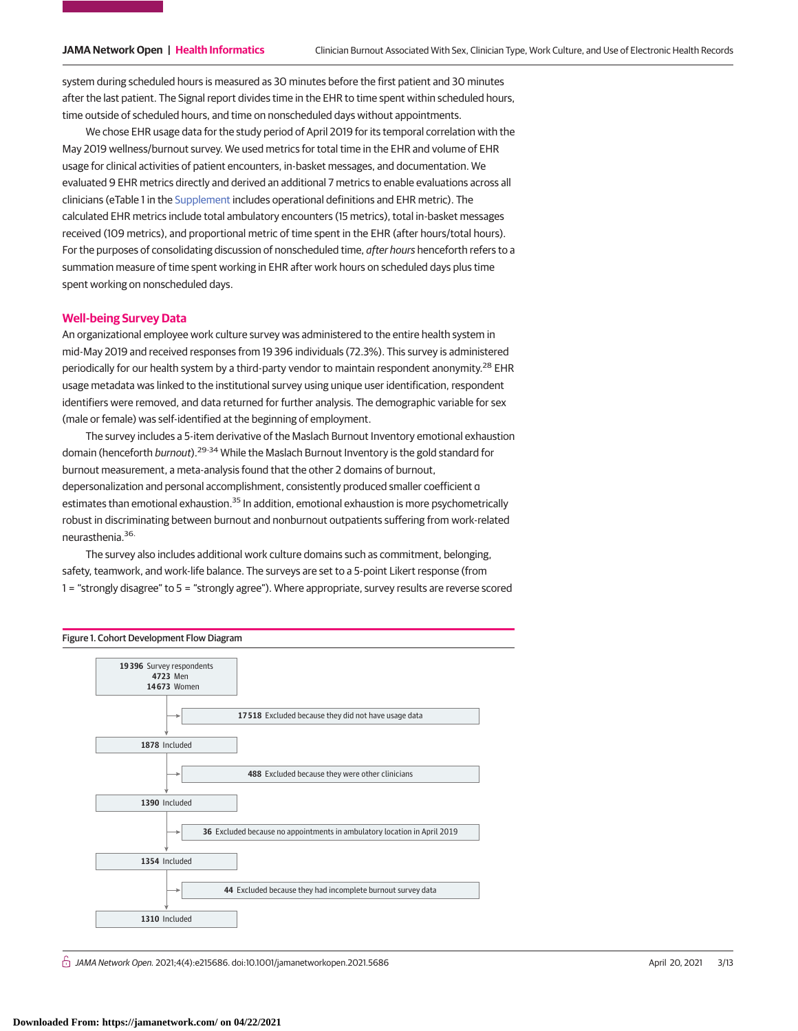system during scheduled hours is measured as 30 minutes before the first patient and 30 minutes after the last patient. The Signal report divides time in the EHR to time spent within scheduled hours, time outside of scheduled hours, and time on nonscheduled days without appointments.

We chose EHR usage data for the study period of April 2019 for its temporal correlation with the May 2019 wellness/burnout survey. We used metrics for total time in the EHR and volume of EHR usage for clinical activities of patient encounters, in-basket messages, and documentation. We evaluated 9 EHR metrics directly and derived an additional 7 metrics to enable evaluations across all clinicians (eTable 1 in the [Supplement](https://jama.jamanetwork.com/article.aspx?doi=10.1001/jamanetworkopen.2021.5686&utm_campaign=articlePDF%26utm_medium=articlePDFlink%26utm_source=articlePDF%26utm_content=jamanetworkopen.2021.5686) includes operational definitions and EHR metric). The calculated EHR metrics include total ambulatory encounters (15 metrics), total in-basket messages received (109 metrics), and proportional metric of time spent in the EHR (after hours/total hours). For the purposes of consolidating discussion of nonscheduled time, after hours henceforth refers to a summation measure of time spent working in EHR after work hours on scheduled days plus time spent working on nonscheduled days.

### **Well-being Survey Data**

An organizational employee work culture survey was administered to the entire health system in mid-May 2019 and received responses from 19 396 individuals (72.3%). This survey is administered periodically for our health system by a third-party vendor to maintain respondent anonymity.<sup>28</sup> EHR usage metadata was linked to the institutional survey using unique user identification, respondent identifiers were removed, and data returned for further analysis. The demographic variable for sex (male or female) was self-identified at the beginning of employment.

The survey includes a 5-item derivative of the Maslach Burnout Inventory emotional exhaustion domain (henceforth *burnout*).<sup>29-34</sup> While the Maslach Burnout Inventory is the gold standard for burnout measurement, a meta-analysis found that the other 2 domains of burnout, depersonalization and personal accomplishment, consistently produced smaller coefficient α estimates than emotional exhaustion.<sup>35</sup> In addition, emotional exhaustion is more psychometrically robust in discriminating between burnout and nonburnout outpatients suffering from work-related neurasthenia.36.

The survey also includes additional work culture domains such as commitment, belonging, safety, teamwork, and work-life balance. The surveys are set to a 5-point Likert response (from 1 = "strongly disagree" to 5 = "strongly agree"). Where appropriate, survey results are reverse scored



 $\stackrel{\frown}{\Pi}$  JAMA Network Open. 2021;4(4):e215686. doi:10.1001/jamanetworkopen.2021.5686 (Reprinted) April 20, 2021 3/13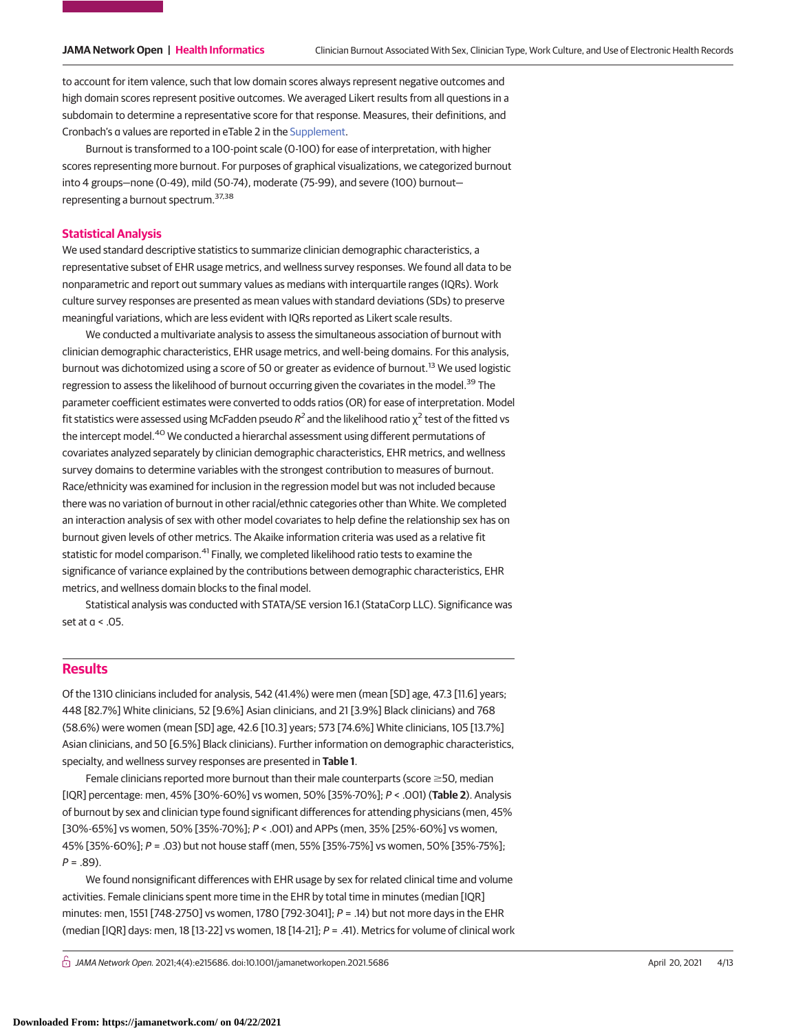to account for item valence, such that low domain scores always represent negative outcomes and high domain scores represent positive outcomes. We averaged Likert results from all questions in a subdomain to determine a representative score for that response. Measures, their definitions, and Cronbach's α values are reported in eTable 2 in the [Supplement.](https://jama.jamanetwork.com/article.aspx?doi=10.1001/jamanetworkopen.2021.5686&utm_campaign=articlePDF%26utm_medium=articlePDFlink%26utm_source=articlePDF%26utm_content=jamanetworkopen.2021.5686)

Burnout is transformed to a 100-point scale (0-100) for ease of interpretation, with higher scores representing more burnout. For purposes of graphical visualizations, we categorized burnout into 4 groups—none (0-49), mild (50-74), moderate (75-99), and severe (100) burnout representing a burnout spectrum.37,38

### **Statistical Analysis**

We used standard descriptive statistics to summarize clinician demographic characteristics, a representative subset of EHR usage metrics, and wellness survey responses. We found all data to be nonparametric and report out summary values as medians with interquartile ranges (IQRs). Work culture survey responses are presented as mean values with standard deviations (SDs) to preserve meaningful variations, which are less evident with IQRs reported as Likert scale results.

We conducted a multivariate analysis to assess the simultaneous association of burnout with clinician demographic characteristics, EHR usage metrics, and well-being domains. For this analysis, burnout was dichotomized using a score of 50 or greater as evidence of burnout.<sup>13</sup> We used logistic regression to assess the likelihood of burnout occurring given the covariates in the model.<sup>39</sup> The parameter coefficient estimates were converted to odds ratios (OR) for ease of interpretation. Model fit statistics were assessed using McFadden pseudo  $R^2$  and the likelihood ratio  $\chi^2$  test of the fitted vs the intercept model.<sup>40</sup> We conducted a hierarchal assessment using different permutations of covariates analyzed separately by clinician demographic characteristics, EHR metrics, and wellness survey domains to determine variables with the strongest contribution to measures of burnout. Race/ethnicity was examined for inclusion in the regression model but was not included because there was no variation of burnout in other racial/ethnic categories other than White. We completed an interaction analysis of sex with other model covariates to help define the relationship sex has on burnout given levels of other metrics. The Akaike information criteria was used as a relative fit statistic for model comparison.<sup>41</sup> Finally, we completed likelihood ratio tests to examine the significance of variance explained by the contributions between demographic characteristics, EHR metrics, and wellness domain blocks to the final model.

Statistical analysis was conducted with STATA/SE version 16.1 (StataCorp LLC). Significance was set at  $a < 0.05$ .

# **Results**

Of the 1310 clinicians included for analysis, 542 (41.4%) were men (mean [SD] age, 47.3 [11.6] years; 448 [82.7%] White clinicians, 52 [9.6%] Asian clinicians, and 21 [3.9%] Black clinicians) and 768 (58.6%) were women (mean [SD] age, 42.6 [10.3] years; 573 [74.6%] White clinicians, 105 [13.7%] Asian clinicians, and 50 [6.5%] Black clinicians). Further information on demographic characteristics, specialty, and wellness survey responses are presented in **Table 1**.

Female clinicians reported more burnout than their male counterparts (score  $\geq$ 50, median [IQR] percentage: men, 45% [30%-60%] vs women, 50% [35%-70%]; P < .001) (**Table 2**). Analysis of burnout by sex and clinician type found significant differences for attending physicians (men, 45% [30%-65%] vs women, 50% [35%-70%];  $P < .001$ ) and APPs (men, 35% [25%-60%] vs women, 45% [35%-60%]; P = .03) but not house staff (men, 55% [35%-75%] vs women, 50% [35%-75%];  $P = .89$ ).

We found nonsignificant differences with EHR usage by sex for related clinical time and volume activities. Female clinicians spent more time in the EHR by total time in minutes (median [IQR] minutes: men, 1551 [748-2750] vs women, 1780 [792-3041]; P = .14) but not more days in the EHR (median [IQR] days: men, 18 [13-22] vs women, 18 [14-21]; P = .41). Metrics for volume of clinical work

 $\bigcap$  JAMA Network Open. 2021;4(4):e215686. doi:10.1001/jamanetworkopen.2021.5686 (Reprinted) April 20, 2021 4/13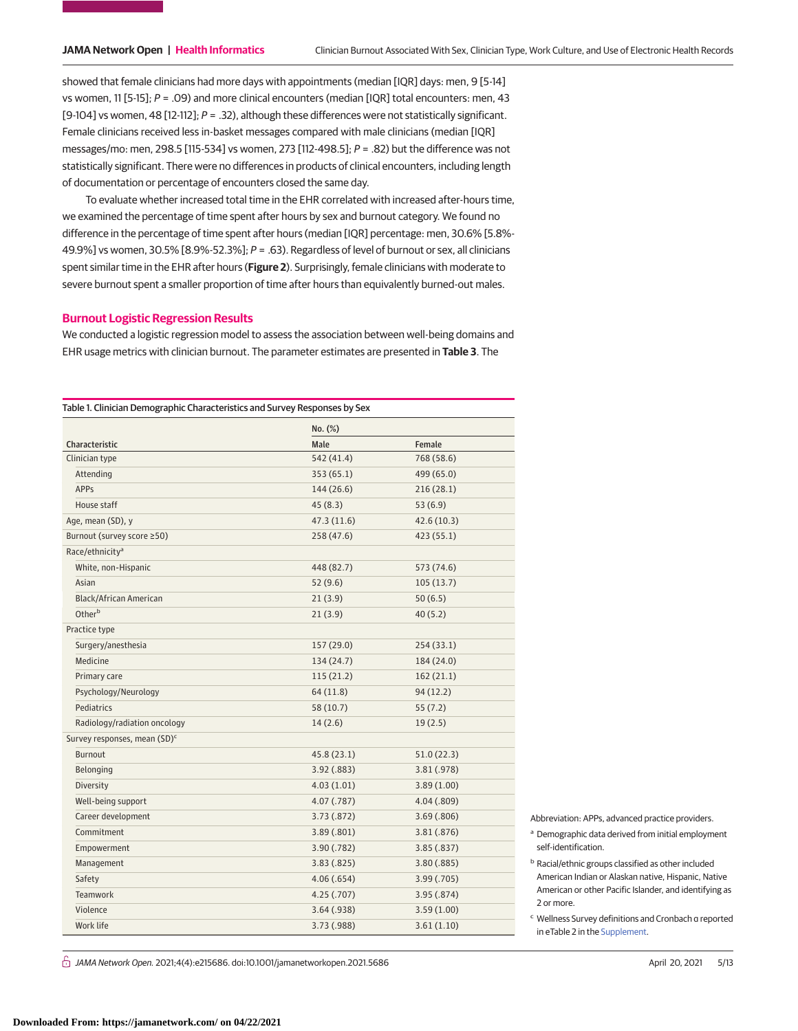showed that female clinicians had more days with appointments (median [IQR] days: men, 9 [5-14] vs women, 11 [5-15];  $P = .09$ ) and more clinical encounters (median [IQR] total encounters: men, 43 [9-104] vs women, 48 [12-112];  $P = .32$ ), although these differences were not statistically significant. Female clinicians received less in-basket messages compared with male clinicians (median [IQR] messages/mo: men, 298.5 [115-534] vs women, 273 [112-498.5]; P = .82) but the difference was not statistically significant. There were no differences in products of clinical encounters, including length of documentation or percentage of encounters closed the same day.

To evaluate whether increased total time in the EHR correlated with increased after-hours time, we examined the percentage of time spent after hours by sex and burnout category. We found no difference in the percentage of time spent after hours (median [IQR] percentage: men, 30.6% [5.8%- 49.9%] vs women, 30.5% [8.9%-52.3%]; P = .63). Regardless of level of burnout or sex, all clinicians spent similar time in the EHR after hours (**Figure 2**). Surprisingly, female clinicians with moderate to severe burnout spent a smaller proportion of time after hours than equivalently burned-out males.

#### **Burnout Logistic Regression Results**

We conducted a logistic regression model to assess the association between well-being domains and EHR usage metrics with clinician burnout. The parameter estimates are presented in **Table 3**. The

|                                          | No. (%)     |             |  |
|------------------------------------------|-------------|-------------|--|
| Characteristic                           | Male        | Female      |  |
| Clinician type                           | 542 (41.4)  | 768 (58.6)  |  |
| Attending                                | 353 (65.1)  | 499 (65.0)  |  |
| <b>APPs</b>                              | 144 (26.6)  | 216(28.1)   |  |
| House staff                              | 45 (8.3)    | 53(6.9)     |  |
| Age, mean (SD), y                        | 47.3 (11.6) | 42.6 (10.3) |  |
| Burnout (survey score ≥50)               | 258 (47.6)  | 423(55.1)   |  |
| Race/ethnicity <sup>a</sup>              |             |             |  |
| White, non-Hispanic                      | 448 (82.7)  | 573 (74.6)  |  |
| Asian                                    | 52(9.6)     | 105(13.7)   |  |
| Black/African American                   | 21(3.9)     | 50(6.5)     |  |
| Otherb                                   | 21(3.9)     | 40 (5.2)    |  |
| Practice type                            |             |             |  |
| Surgery/anesthesia                       | 157 (29.0)  | 254(33.1)   |  |
| Medicine                                 | 134 (24.7)  | 184 (24.0)  |  |
| Primary care                             | 115(21.2)   | 162(21.1)   |  |
| Psychology/Neurology                     | 64(11.8)    | 94 (12.2)   |  |
| Pediatrics                               | 58 (10.7)   | 55(7.2)     |  |
| Radiology/radiation oncology             | 14(2.6)     | 19(2.5)     |  |
| Survey responses, mean (SD) <sup>c</sup> |             |             |  |
| Burnout                                  | 45.8(23.1)  | 51.0(22.3)  |  |
| Belonging                                | 3.92 (.883) | 3.81(.978)  |  |
| Diversity                                | 4.03(1.01)  | 3.89(1.00)  |  |
| Well-being support                       | 4.07 (.787) | 4.04 (.809) |  |
| Career development                       | 3.73(.872)  | 3.69(.806)  |  |
| Commitment                               | 3.89(.801)  | 3.81(.876)  |  |
| Empowerment                              | 3.90(0.782) | 3.85 (.837) |  |
| Management                               | 3.83(.825)  | 3.80(.885)  |  |
| Safety                                   | 4.06(.654)  | 3.99(0.705) |  |
| <b>Teamwork</b>                          | 4.25(.707)  | 3.95(.874)  |  |
| Violence                                 | 3.64(.938)  | 3.59(1.00)  |  |
| Work life                                | 3.73 (.988) | 3.61(1.10)  |  |

- Abbreviation: APPs, advanced practice providers.
- <sup>a</sup> Demographic data derived from initial employment self-identification.
- **b** Racial/ethnic groups classified as other included American Indian or Alaskan native, Hispanic, Native American or other Pacific Islander, and identifying as 2 or more.
- <sup>c</sup> Wellness Survey definitions and Cronbach α reported in eTable 2 in the [Supplement.](https://jama.jamanetwork.com/article.aspx?doi=10.1001/jamanetworkopen.2021.5686&utm_campaign=articlePDF%26utm_medium=articlePDFlink%26utm_source=articlePDF%26utm_content=jamanetworkopen.2021.5686)

 $\bigcap$  JAMA Network Open. 2021;4(4):e215686. doi:10.1001/jamanetworkopen.2021.5686 (April 20, 2021 - 5/13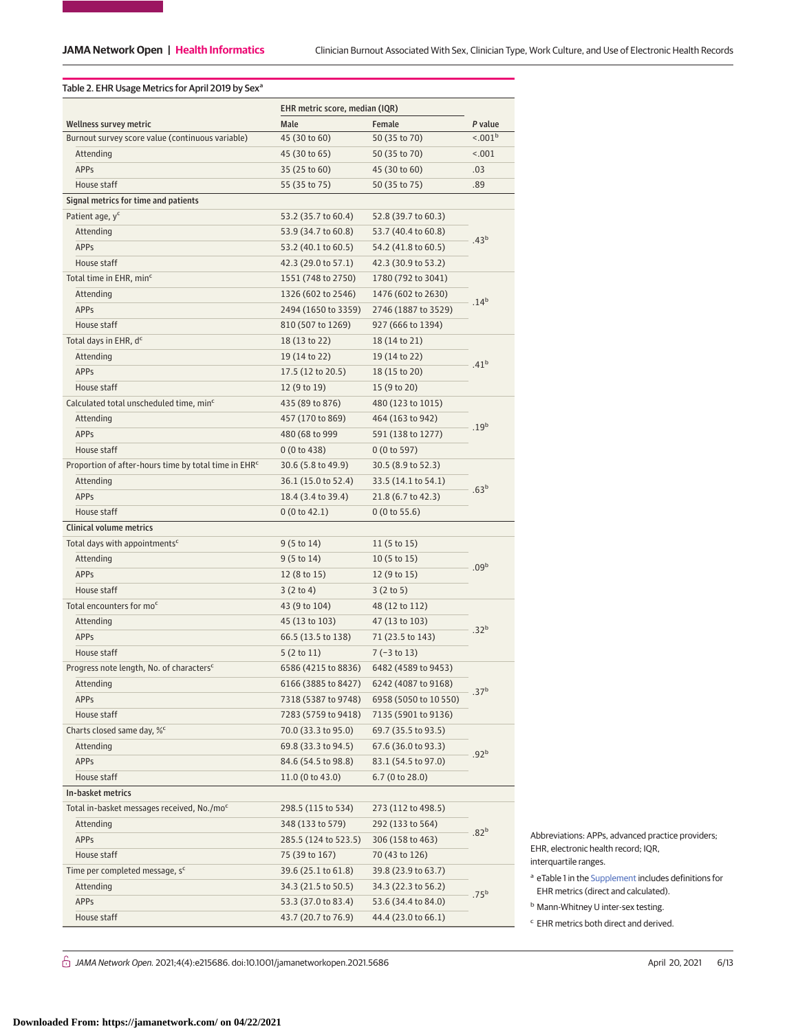### Table 2. EHR Usage Metrics for April 2019 by Sex<sup>a</sup>

|                                                                  | EHR metric score, median (IQR)           |                                         |                     |  |  |
|------------------------------------------------------------------|------------------------------------------|-----------------------------------------|---------------------|--|--|
| <b>Wellness survey metric</b>                                    | Male                                     | Female                                  | P value             |  |  |
| Burnout survey score value (continuous variable)                 | 45 (30 to 60)                            | 50 (35 to 70)                           | < 0.01 <sup>b</sup> |  |  |
| Attending                                                        | 45 (30 to 65)                            | 50 (35 to 70)                           | 15.001              |  |  |
| <b>APPs</b>                                                      | 35 (25 to 60)                            | 45 (30 to 60)                           | .03                 |  |  |
| House staff                                                      | 55 (35 to 75)                            | 50 (35 to 75)                           | .89                 |  |  |
| Signal metrics for time and patients                             |                                          |                                         |                     |  |  |
| Patient age, y <sup>c</sup>                                      | 53.2 (35.7 to 60.4)                      | 52.8 (39.7 to 60.3)                     |                     |  |  |
| Attending                                                        | 53.9 (34.7 to 60.8)                      | 53.7 (40.4 to 60.8)                     |                     |  |  |
| <b>APPs</b>                                                      | 53.2 (40.1 to 60.5)                      | 54.2 (41.8 to 60.5)                     | .43 <sup>b</sup>    |  |  |
| House staff                                                      | 42.3 (29.0 to 57.1)                      | 42.3 (30.9 to 53.2)                     |                     |  |  |
| Total time in EHR, min <sup>c</sup>                              | 1551 (748 to 2750)                       | 1780 (792 to 3041)                      |                     |  |  |
| Attending                                                        | 1326 (602 to 2546)<br>1476 (602 to 2630) |                                         |                     |  |  |
| <b>APPs</b>                                                      | 2494 (1650 to 3359)                      | 2746 (1887 to 3529)                     | .14 <sup>b</sup>    |  |  |
| House staff                                                      | 810 (507 to 1269)                        | 927 (666 to 1394)                       |                     |  |  |
| Total days in EHR, d <sup>c</sup>                                | 18 (13 to 22)                            | 18 (14 to 21)                           |                     |  |  |
| Attending                                                        | 19 (14 to 22)                            | 19 (14 to 22)                           |                     |  |  |
| <b>APPs</b>                                                      | 17.5 (12 to 20.5)                        | 18 (15 to 20)                           | .41 <sup>b</sup>    |  |  |
| House staff                                                      | 12 (9 to 19)                             | 15 (9 to 20)                            |                     |  |  |
| Calculated total unscheduled time, min <sup>c</sup>              | 435 (89 to 876)                          | 480 (123 to 1015)                       |                     |  |  |
| Attending                                                        | 457 (170 to 869)                         | 464 (163 to 942)                        |                     |  |  |
| <b>APPs</b>                                                      | 480 (68 to 999                           | 591 (138 to 1277)                       | .19 <sup>b</sup>    |  |  |
| House staff                                                      | 0(0 to 438)                              | 0(0 to 597)                             |                     |  |  |
| Proportion of after-hours time by total time in EHR <sup>c</sup> | 30.6 (5.8 to 49.9)                       | 30.5 (8.9 to 52.3)                      | .63 <sup>b</sup>    |  |  |
| Attending                                                        | 36.1 (15.0 to 52.4)                      | 33.5 (14.1 to 54.1)                     |                     |  |  |
| <b>APPs</b>                                                      | 18.4 (3.4 to 39.4)                       | 21.8 (6.7 to 42.3)                      |                     |  |  |
| House staff                                                      | 0(0 to 42.1)                             | 0(0 to 55.6)                            |                     |  |  |
| <b>Clinical volume metrics</b>                                   |                                          |                                         |                     |  |  |
| Total days with appointments <sup>c</sup>                        | $9(5 \text{ to } 14)$                    | 11 (5 to 15)                            |                     |  |  |
| Attending                                                        | 9(5 to 14)                               | 10 (5 to 15)                            |                     |  |  |
| <b>APPs</b>                                                      | 12 (8 to 15)                             | 12 (9 to 15)                            | .09 <sup>b</sup>    |  |  |
| House staff                                                      | 3(2 to 4)                                | 3(2 to 5)                               |                     |  |  |
| Total encounters for mo <sup>c</sup>                             | 43 (9 to 104)                            | 48 (12 to 112)                          |                     |  |  |
| Attending                                                        | 45 (13 to 103)                           | 47 (13 to 103)                          |                     |  |  |
| <b>APPs</b>                                                      | 66.5 (13.5 to 138)                       | 71 (23.5 to 143)                        | .32 <sup>b</sup>    |  |  |
| House staff                                                      | 5(2 to 11)                               | 7 (-3 to 13)                            |                     |  |  |
| Progress note length, No. of characters <sup>c</sup>             | 6586 (4215 to 8836)                      | 6482 (4589 to 9453)                     |                     |  |  |
| Attending                                                        |                                          | 6166 (3885 to 8427) 6242 (4087 to 9168) |                     |  |  |
| APPs                                                             | 7318 (5387 to 9748)                      | 6958 (5050 to 10 550)                   | .37 <sup>b</sup>    |  |  |
| House staff                                                      | 7283 (5759 to 9418)                      | 7135 (5901 to 9136)                     |                     |  |  |
| Charts closed same day, % <sup>c</sup>                           | 70.0 (33.3 to 95.0)                      | 69.7 (35.5 to 93.5)                     |                     |  |  |
| Attending                                                        | 69.8 (33.3 to 94.5)                      | 67.6 (36.0 to 93.3)                     | .92 <sup>b</sup>    |  |  |
| APPs                                                             | 84.6 (54.5 to 98.8)                      | 83.1 (54.5 to 97.0)                     |                     |  |  |
| House staff                                                      | 11.0(0 to 43.0)                          | 6.7(0 to 28.0)                          |                     |  |  |
| In-basket metrics                                                |                                          |                                         |                     |  |  |
| Total in-basket messages received, No./mo <sup>c</sup>           | 298.5 (115 to 534)                       | 273 (112 to 498.5)                      |                     |  |  |
| Attending                                                        | 348 (133 to 579)                         | 292 (133 to 564)                        | .82 <sup>b</sup>    |  |  |
| APPs                                                             | 285.5 (124 to 523.5)                     | 306 (158 to 463)                        |                     |  |  |
| House staff                                                      | 75 (39 to 167)                           | 70 (43 to 126)                          |                     |  |  |
| Time per completed message, s <sup>c</sup>                       | 39.6 (25.1 to 61.8)                      | 39.8 (23.9 to 63.7)                     |                     |  |  |
| Attending                                                        | 34.3 (21.5 to 50.5)                      | 34.3 (22.3 to 56.2)                     | .75 <sup>b</sup>    |  |  |
| APPs                                                             | 53.3 (37.0 to 83.4)                      | 53.6 (34.4 to 84.0)                     |                     |  |  |
| House staff                                                      | 43.7 (20.7 to 76.9)                      | 44.4 (23.0 to 66.1)                     |                     |  |  |

Abbreviations: APPs, advanced practice providers; EHR, electronic health record; IQR, interquartile ranges.

- <sup>a</sup> eTable 1 in the [Supplement](https://jama.jamanetwork.com/article.aspx?doi=10.1001/jamanetworkopen.2021.5686&utm_campaign=articlePDF%26utm_medium=articlePDFlink%26utm_source=articlePDF%26utm_content=jamanetworkopen.2021.5686) includes definitions for EHR metrics (direct and calculated).
- <sup>b</sup> Mann-Whitney U inter-sex testing.
- <sup>c</sup> EHR metrics both direct and derived.

 $\hat{\Box}$  JAMA Network Open. 2021;4(4):e215686. doi:10.1001/jamanetworkopen.2021.5686 (Reprinted) April 20, 2021 6/13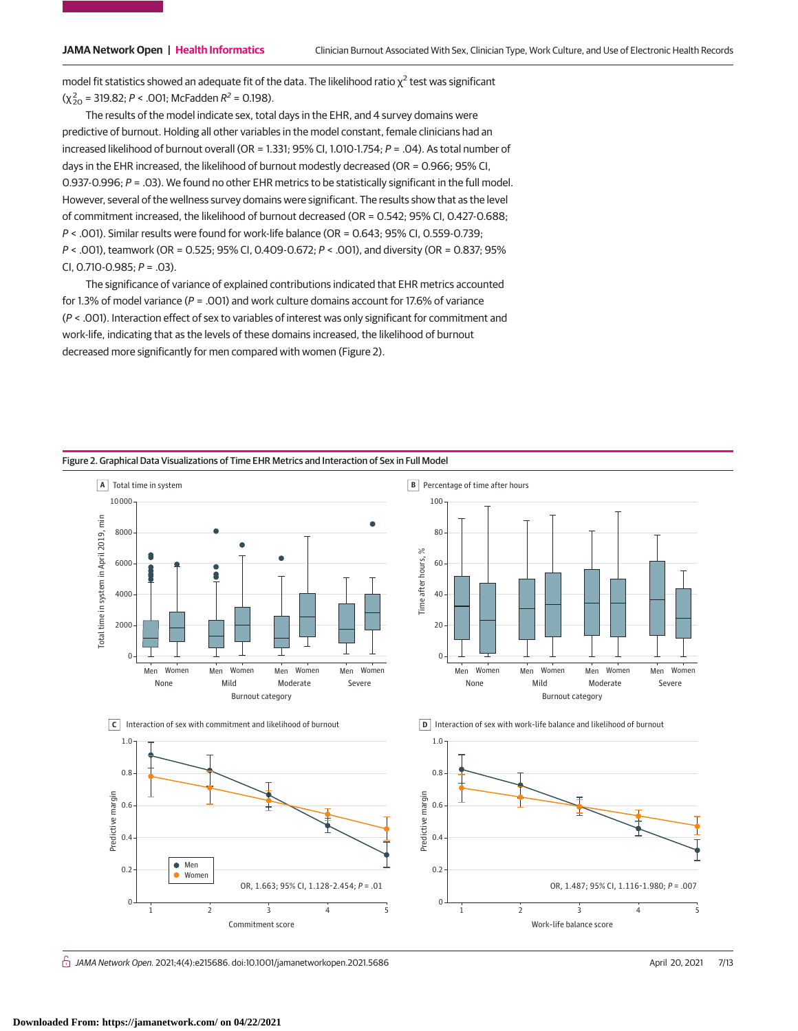model fit statistics showed an adequate fit of the data. The likelihood ratio  $\chi^2$  test was significant  $(\chi_{20}^2 = 319.82; P < .001;$  McFadden  $R^2 = 0.198$ ).

The results of the model indicate sex, total days in the EHR, and 4 survey domains were predictive of burnout. Holding all other variables in the model constant, female clinicians had an increased likelihood of burnout overall (OR = 1.331; 95% CI, 1.010-1.754; P = .04). As total number of days in the EHR increased, the likelihood of burnout modestly decreased (OR = 0.966; 95% CI, 0.937-0.996;  $P = .03$ ). We found no other EHR metrics to be statistically significant in the full model. However, several of the wellness survey domains were significant. The results show that as the level of commitment increased, the likelihood of burnout decreased (OR = 0.542; 95% CI, 0.427-0.688; P < .001). Similar results were found for work-life balance (OR = 0.643; 95% CI, 0.559-0.739; P < .001), teamwork (OR = 0.525; 95% CI, 0.409-0.672; P < .001), and diversity (OR = 0.837; 95% CI, 0.710-0.985;  $P = .03$ ).

The significance of variance of explained contributions indicated that EHR metrics accounted for 1.3% of model variance ( $P = .001$ ) and work culture domains account for 17.6% of variance (P < .001). Interaction effect of sex to variables of interest was only significant for commitment and work-life, indicating that as the levels of these domains increased, the likelihood of burnout decreased more significantly for men compared with women (Figure 2).



Figure 2. Graphical Data Visualizations of Time EHR Metrics and Interaction of Sex in Full Model

 $\bigcap$  JAMA Network Open. 2021;4(4):e215686. doi:10.1001/jamanetworkopen.2021.5686 (April 20, 2021 7/13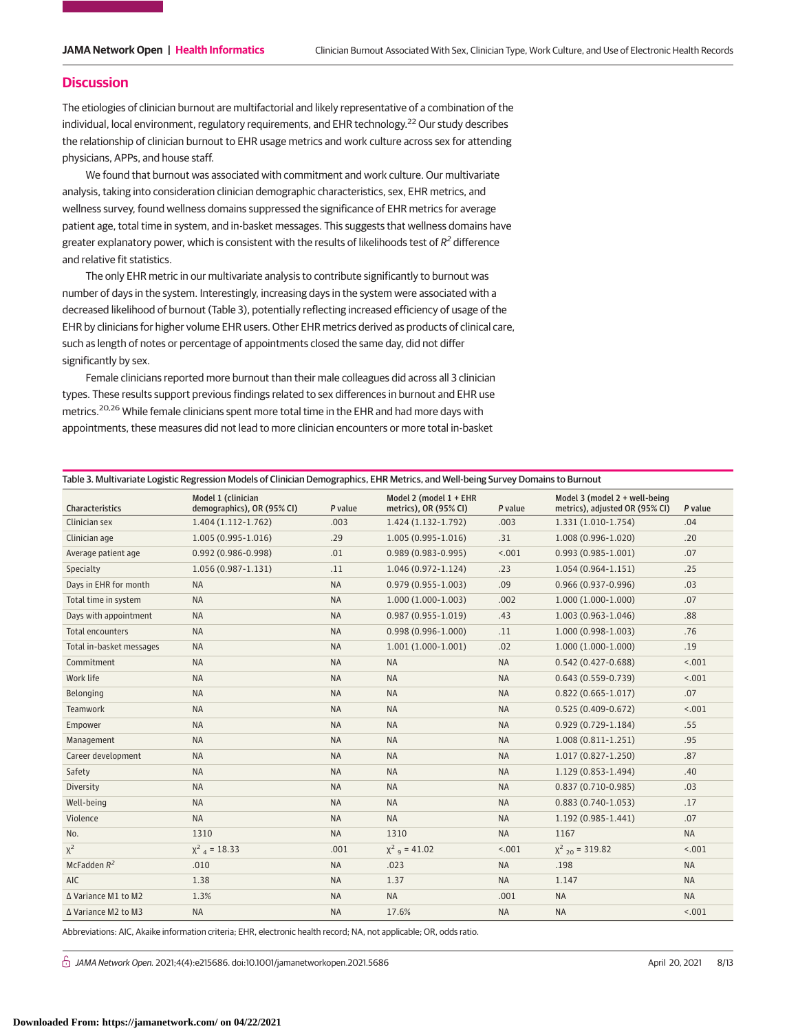### **Discussion**

The etiologies of clinician burnout are multifactorial and likely representative of a combination of the individual, local environment, regulatory requirements, and EHR technology.<sup>22</sup> Our study describes the relationship of clinician burnout to EHR usage metrics and work culture across sex for attending physicians, APPs, and house staff.

We found that burnout was associated with commitment and work culture. Our multivariate analysis, taking into consideration clinician demographic characteristics, sex, EHR metrics, and wellness survey, found wellness domains suppressed the significance of EHR metrics for average patient age, total time in system, and in-basket messages. This suggests that wellness domains have greater explanatory power, which is consistent with the results of likelihoods test of  $R^2$  difference and relative fit statistics.

The only EHR metric in our multivariate analysis to contribute significantly to burnout was number of days in the system. Interestingly, increasing days in the system were associated with a decreased likelihood of burnout (Table 3), potentially reflecting increased efficiency of usage of the EHR by clinicians for higher volume EHR users. Other EHR metrics derived as products of clinical care, such as length of notes or percentage of appointments closed the same day, did not differ significantly by sex.

Female clinicians reported more burnout than their male colleagues did across all 3 clinician types. These results support previous findings related to sex differences in burnout and EHR use metrics.<sup>20,26</sup> While female clinicians spent more total time in the EHR and had more days with appointments, these measures did not lead to more clinician encounters or more total in-basket

| Table 3. Multivariate Logistic Regression Models of Clinician Demographics, EHR Metrics, and Well-being Survey Domains to Burnout |  |  |
|-----------------------------------------------------------------------------------------------------------------------------------|--|--|
|-----------------------------------------------------------------------------------------------------------------------------------|--|--|

| <b>Characteristics</b>   | Model 1 (clinician<br>demographics), OR (95% CI) | P value   | Model 2 (model $1 + EHR$<br>metrics), OR (95% CI) | P value   | Model 3 (model 2 + well-being<br>metrics), adjusted OR (95% CI) | P value   |
|--------------------------|--------------------------------------------------|-----------|---------------------------------------------------|-----------|-----------------------------------------------------------------|-----------|
| Clinician sex            | 1.404 (1.112-1.762)                              | .003      | 1.424 (1.132-1.792)                               | .003      | 1.331 (1.010-1.754)                                             | .04       |
| Clinician age            | $1.005(0.995-1.016)$                             | .29       | $1.005(0.995-1.016)$                              | .31       | 1.008 (0.996-1.020)                                             | .20       |
| Average patient age      | $0.992(0.986 - 0.998)$                           | .01       | $0.989(0.983 - 0.995)$                            | < .001    | $0.993(0.985 - 1.001)$                                          | .07       |
| Specialty                | 1.056 (0.987-1.131)                              | .11       | $1.046(0.972 - 1.124)$                            | .23       | $1.054(0.964-1.151)$                                            | .25       |
| Days in EHR for month    | <b>NA</b>                                        | <b>NA</b> | $0.979(0.955 - 1.003)$                            | .09       | $0.966(0.937 - 0.996)$                                          | .03       |
| Total time in system     | <b>NA</b>                                        | <b>NA</b> | $1.000(1.000-1.003)$                              | .002      | 1.000 (1.000-1.000)                                             | .07       |
| Days with appointment    | <b>NA</b>                                        | <b>NA</b> | $0.987(0.955 - 1.019)$                            | .43       | 1.003 (0.963-1.046)                                             | .88       |
| <b>Total encounters</b>  | <b>NA</b>                                        | <b>NA</b> | $0.998(0.996 - 1.000)$                            | .11       | $1.000(0.998-1.003)$                                            | .76       |
| Total in-basket messages | <b>NA</b>                                        | <b>NA</b> | $1.001(1.000-1.001)$                              | .02       | $1.000(1.000-1.000)$                                            | .19       |
| Commitment               | <b>NA</b>                                        | <b>NA</b> | <b>NA</b>                                         | <b>NA</b> | $0.542(0.427 - 0.688)$                                          | < .001    |
| Work life                | <b>NA</b>                                        | <b>NA</b> | <b>NA</b>                                         | <b>NA</b> | $0.643(0.559 - 0.739)$                                          | < .001    |
| Belonging                | <b>NA</b>                                        | <b>NA</b> | <b>NA</b>                                         | <b>NA</b> | $0.822(0.665 - 1.017)$                                          | .07       |
| Teamwork                 | <b>NA</b>                                        | <b>NA</b> | <b>NA</b>                                         | <b>NA</b> | $0.525(0.409 - 0.672)$                                          | < .001    |
| Empower                  | <b>NA</b>                                        | <b>NA</b> | <b>NA</b>                                         | <b>NA</b> | $0.929(0.729-1.184)$                                            | .55       |
| Management               | <b>NA</b>                                        | <b>NA</b> | <b>NA</b>                                         | <b>NA</b> | $1.008(0.811 - 1.251)$                                          | .95       |
| Career development       | <b>NA</b>                                        | <b>NA</b> | <b>NA</b>                                         | <b>NA</b> | 1.017 (0.827-1.250)                                             | .87       |
| Safety                   | <b>NA</b>                                        | <b>NA</b> | <b>NA</b>                                         | <b>NA</b> | 1.129 (0.853-1.494)                                             | .40       |
| Diversity                | <b>NA</b>                                        | <b>NA</b> | <b>NA</b>                                         | <b>NA</b> | $0.837(0.710-0.985)$                                            | .03       |
| Well-being               | <b>NA</b>                                        | <b>NA</b> | <b>NA</b>                                         | <b>NA</b> | $0.883(0.740-1.053)$                                            | .17       |
| Violence                 | <b>NA</b>                                        | <b>NA</b> | <b>NA</b>                                         | <b>NA</b> | $1.192(0.985 - 1.441)$                                          | .07       |
| No.                      | 1310                                             | <b>NA</b> | 1310                                              | <b>NA</b> | 1167                                                            | <b>NA</b> |
| $\chi^2$                 | $\chi^2$ <sub>4</sub> = 18.33                    | .001      | $\chi^2$ <sub>9</sub> = 41.02                     | < .001    | $\chi^2$ <sub>20</sub> = 319.82                                 | < .001    |
| McFadden $R^2$           | .010                                             | <b>NA</b> | .023                                              | <b>NA</b> | .198                                                            | <b>NA</b> |
| <b>AIC</b>               | 1.38                                             | <b>NA</b> | 1.37                                              | <b>NA</b> | 1.147                                                           | <b>NA</b> |
| ∆ Variance M1 to M2      | 1.3%                                             | <b>NA</b> | <b>NA</b>                                         | .001      | <b>NA</b>                                                       | <b>NA</b> |
| Δ Variance M2 to M3      | <b>NA</b>                                        | <b>NA</b> | 17.6%                                             | <b>NA</b> | <b>NA</b>                                                       | < .001    |

Abbreviations: AIC, Akaike information criteria; EHR, electronic health record; NA, not applicable; OR, odds ratio.

 $\bigcap$  JAMA Network Open. 2021;4(4):e215686. doi:10.1001/jamanetworkopen.2021.5686 (Reprinted) April 20, 2021 8/13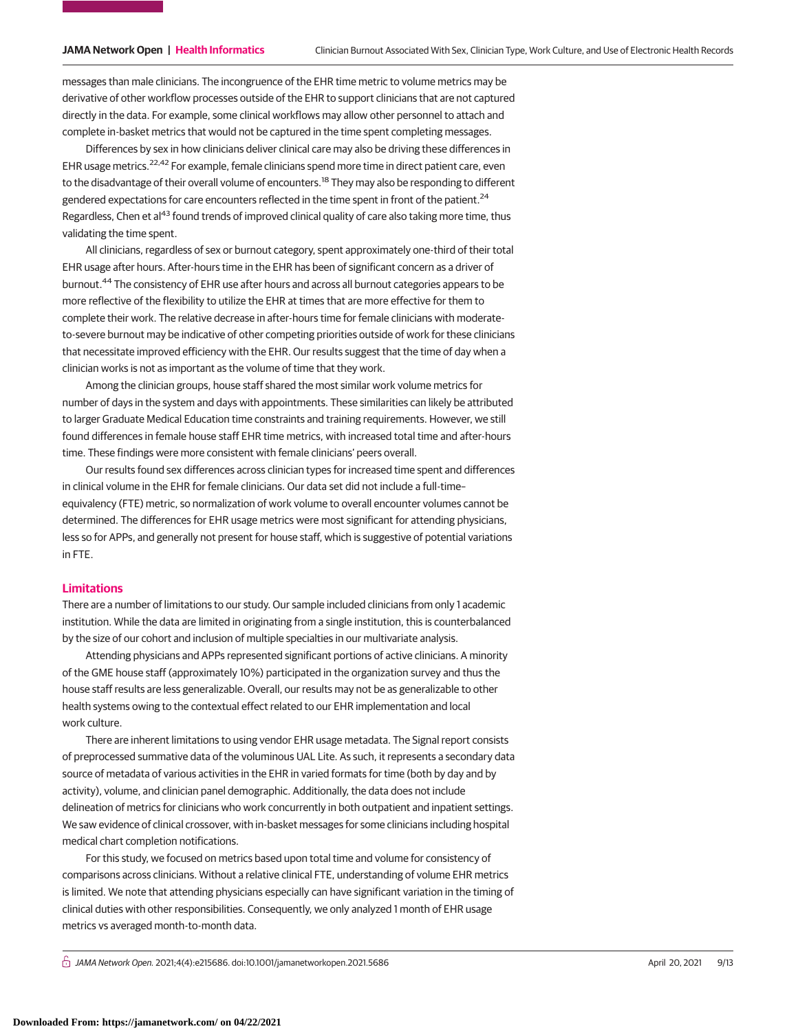messages than male clinicians. The incongruence of the EHR time metric to volume metrics may be derivative of other workflow processes outside of the EHR to support clinicians that are not captured directly in the data. For example, some clinical workflows may allow other personnel to attach and complete in-basket metrics that would not be captured in the time spent completing messages.

Differences by sex in how clinicians deliver clinical care may also be driving these differences in EHR usage metrics.<sup>22,42</sup> For example, female clinicians spend more time in direct patient care, even to the disadvantage of their overall volume of encounters.<sup>18</sup> They may also be responding to different gendered expectations for care encounters reflected in the time spent in front of the patient.<sup>24</sup> Regardless, Chen et al<sup>43</sup> found trends of improved clinical quality of care also taking more time, thus validating the time spent.

All clinicians, regardless of sex or burnout category, spent approximately one-third of their total EHR usage after hours. After-hours time in the EHR has been of significant concern as a driver of burnout.<sup>44</sup> The consistency of EHR use after hours and across all burnout categories appears to be more reflective of the flexibility to utilize the EHR at times that are more effective for them to complete their work. The relative decrease in after-hours time for female clinicians with moderateto-severe burnout may be indicative of other competing priorities outside of work for these clinicians that necessitate improved efficiency with the EHR. Our results suggest that the time of day when a clinician works is not as important as the volume of time that they work.

Among the clinician groups, house staff shared the most similar work volume metrics for number of days in the system and days with appointments. These similarities can likely be attributed to larger Graduate Medical Education time constraints and training requirements. However, we still found differences in female house staff EHR time metrics, with increased total time and after-hours time. These findings were more consistent with female clinicians' peers overall.

Our results found sex differences across clinician types for increased time spent and differences in clinical volume in the EHR for female clinicians. Our data set did not include a full-time– equivalency (FTE) metric, so normalization of work volume to overall encounter volumes cannot be determined. The differences for EHR usage metrics were most significant for attending physicians, less so for APPs, and generally not present for house staff, which is suggestive of potential variations in FTE.

# **Limitations**

There are a number of limitations to our study. Our sample included clinicians from only 1 academic institution. While the data are limited in originating from a single institution, this is counterbalanced by the size of our cohort and inclusion of multiple specialties in our multivariate analysis.

Attending physicians and APPs represented significant portions of active clinicians. A minority of the GME house staff (approximately 10%) participated in the organization survey and thus the house staff results are less generalizable. Overall, our results may not be as generalizable to other health systems owing to the contextual effect related to our EHR implementation and local work culture.

There are inherent limitations to using vendor EHR usage metadata. The Signal report consists of preprocessed summative data of the voluminous UAL Lite. As such, it represents a secondary data source of metadata of various activities in the EHR in varied formats for time (both by day and by activity), volume, and clinician panel demographic. Additionally, the data does not include delineation of metrics for clinicians who work concurrently in both outpatient and inpatient settings. We saw evidence of clinical crossover, with in-basket messages for some clinicians including hospital medical chart completion notifications.

For this study, we focused on metrics based upon total time and volume for consistency of comparisons across clinicians. Without a relative clinical FTE, understanding of volume EHR metrics is limited. We note that attending physicians especially can have significant variation in the timing of clinical duties with other responsibilities. Consequently, we only analyzed 1 month of EHR usage metrics vs averaged month-to-month data.

 $\stackrel{\frown}{\Box}$  JAMA Network Open. 2021;4(4):e215686. doi:10.1001/jamanetworkopen.2021.5686 (Reprinted) April 20, 2021 9/13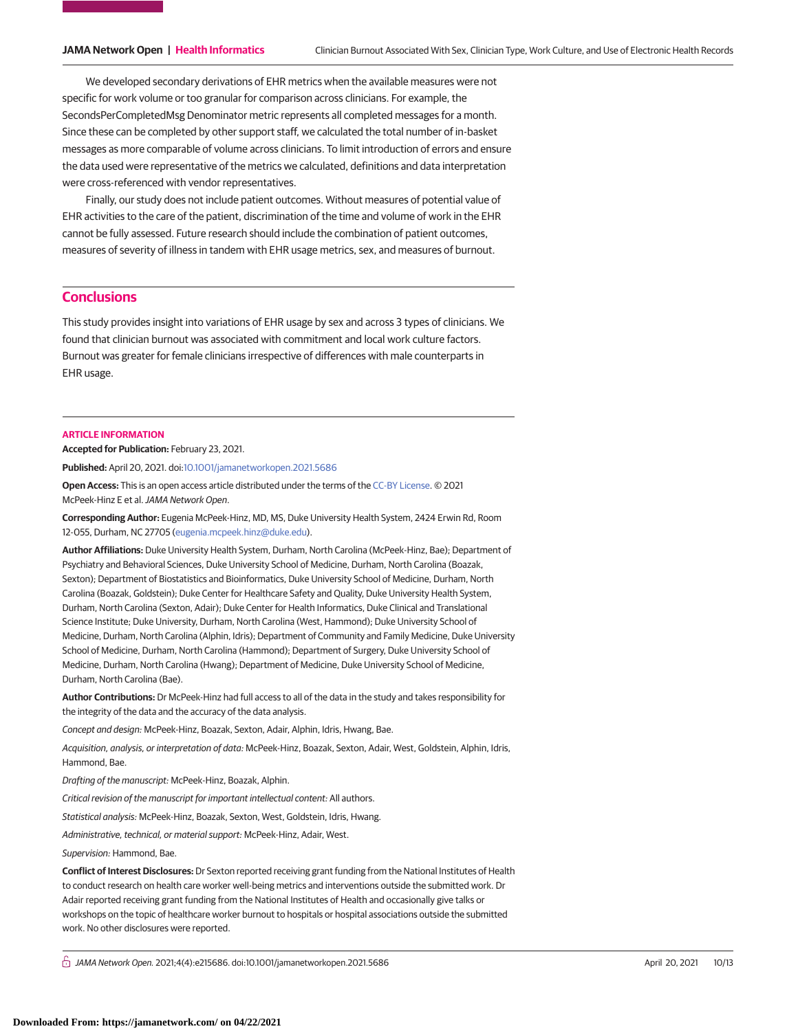We developed secondary derivations of EHR metrics when the available measures were not specific for work volume or too granular for comparison across clinicians. For example, the SecondsPerCompletedMsg Denominator metric represents all completed messages for a month. Since these can be completed by other support staff, we calculated the total number of in-basket messages as more comparable of volume across clinicians. To limit introduction of errors and ensure the data used were representative of the metrics we calculated, definitions and data interpretation were cross-referenced with vendor representatives.

Finally, our study does not include patient outcomes. Without measures of potential value of EHR activities to the care of the patient, discrimination of the time and volume of work in the EHR cannot be fully assessed. Future research should include the combination of patient outcomes, measures of severity of illness in tandem with EHR usage metrics, sex, and measures of burnout.

# **Conclusions**

This study provides insight into variations of EHR usage by sex and across 3 types of clinicians. We found that clinician burnout was associated with commitment and local work culture factors. Burnout was greater for female clinicians irrespective of differences with male counterparts in EHR usage.

#### **ARTICLE INFORMATION**

**Accepted for Publication:** February 23, 2021.

**Published:** April 20, 2021. doi[:10.1001/jamanetworkopen.2021.5686](https://jama.jamanetwork.com/article.aspx?doi=10.1001/jamanetworkopen.2021.5686&utm_campaign=articlePDF%26utm_medium=articlePDFlink%26utm_source=articlePDF%26utm_content=jamanetworkopen.2021.5686)

**Open Access:** This is an open access article distributed under the terms of the [CC-BY License.](https://jamanetwork.com/pages/cc-by-license-permissions/?utm_campaign=articlePDF%26utm_medium=articlePDFlink%26utm_source=articlePDF%26utm_content=jamanetworkopen.2021.5686) © 2021 McPeek-Hinz E et al.JAMA Network Open.

**Corresponding Author:** Eugenia McPeek-Hinz, MD, MS, Duke University Health System, 2424 Erwin Rd, Room 12-055, Durham, NC 27705 [\(eugenia.mcpeek.hinz@duke.edu\)](mailto:eugenia.mcpeek.hinz@duke.edu).

**Author Affiliations:** Duke University Health System, Durham, North Carolina (McPeek-Hinz, Bae); Department of Psychiatry and Behavioral Sciences, Duke University School of Medicine, Durham, North Carolina (Boazak, Sexton); Department of Biostatistics and Bioinformatics, Duke University School of Medicine, Durham, North Carolina (Boazak, Goldstein); Duke Center for Healthcare Safety and Quality, Duke University Health System, Durham, North Carolina (Sexton, Adair); Duke Center for Health Informatics, Duke Clinical and Translational Science Institute; Duke University, Durham, North Carolina (West, Hammond); Duke University School of Medicine, Durham, North Carolina (Alphin, Idris); Department of Community and Family Medicine, Duke University School of Medicine, Durham, North Carolina (Hammond); Department of Surgery, Duke University School of Medicine, Durham, North Carolina (Hwang); Department of Medicine, Duke University School of Medicine, Durham, North Carolina (Bae).

**Author Contributions:** Dr McPeek-Hinz had full access to all of the data in the study and takes responsibility for the integrity of the data and the accuracy of the data analysis.

Concept and design: McPeek-Hinz, Boazak, Sexton, Adair, Alphin, Idris, Hwang, Bae.

Acquisition, analysis, or interpretation of data: McPeek-Hinz, Boazak, Sexton, Adair, West, Goldstein, Alphin, Idris, Hammond, Bae.

Drafting of the manuscript: McPeek-Hinz, Boazak, Alphin.

Critical revision of the manuscript for important intellectual content: All authors.

Statistical analysis: McPeek-Hinz, Boazak, Sexton, West, Goldstein, Idris, Hwang.

Administrative, technical, or material support: McPeek-Hinz, Adair, West.

Supervision: Hammond, Bae.

**Conflict of Interest Disclosures:** Dr Sexton reported receiving grant funding from the National Institutes of Health to conduct research on health care worker well-being metrics and interventions outside the submitted work. Dr Adair reported receiving grant funding from the National Institutes of Health and occasionally give talks or workshops on the topic of healthcare worker burnout to hospitals or hospital associations outside the submitted work. No other disclosures were reported.

 $\bigcap$  JAMA Network Open. 2021;4(4):e215686. doi:10.1001/jamanetworkopen.2021.5686 (Reprinted) April 20, 2021 10/13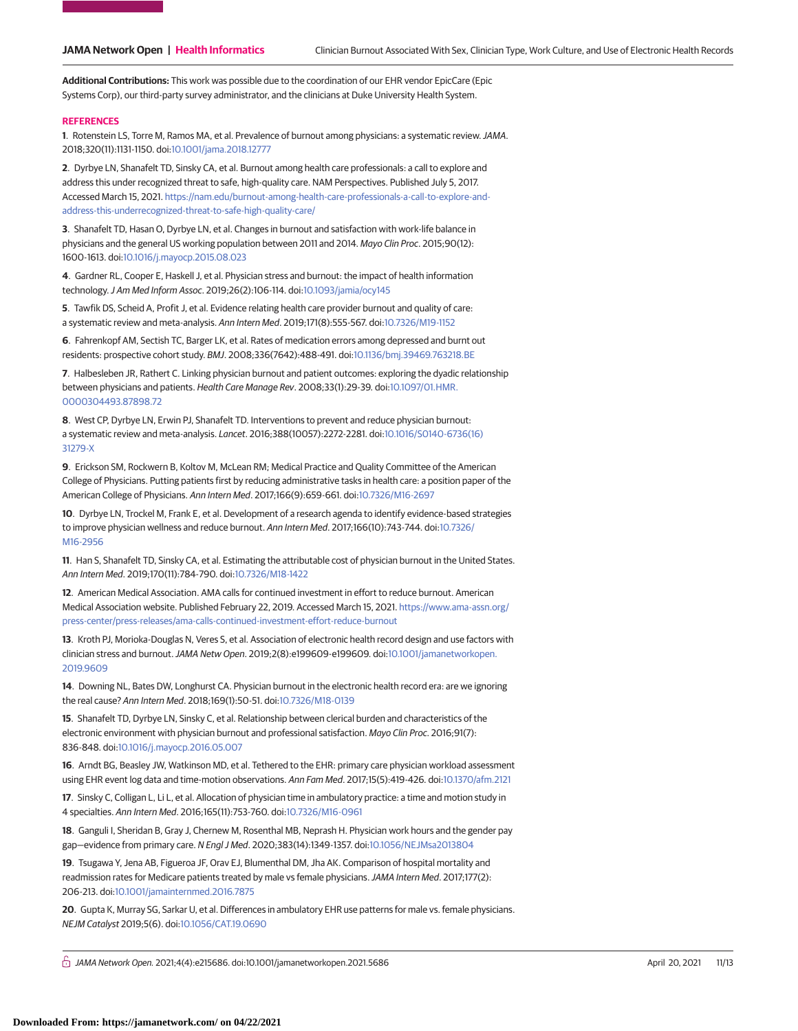**Additional Contributions:** This work was possible due to the coordination of our EHR vendor EpicCare (Epic Systems Corp), our third-party survey administrator, and the clinicians at Duke University Health System.

### **REFERENCES**

**1**. Rotenstein LS, Torre M, Ramos MA, et al. Prevalence of burnout among physicians: a systematic review.JAMA. 2018;320(11):1131-1150. doi[:10.1001/jama.2018.12777](https://jama.jamanetwork.com/article.aspx?doi=10.1001/jama.2018.12777&utm_campaign=articlePDF%26utm_medium=articlePDFlink%26utm_source=articlePDF%26utm_content=jamanetworkopen.2021.5686)

**2**. Dyrbye LN, Shanafelt TD, Sinsky CA, et al. Burnout among health care professionals: a call to explore and address this under recognized threat to safe, high-quality care. NAM Perspectives. Published July 5, 2017. Accessed March 15, 2021. [https://nam.edu/burnout-among-health-care-professionals-a-call-to-explore-and](https://nam.edu/burnout-among-health-care-professionals-a-call-to-explore-and-address-this-underrecognized-threat-to-safe-high-quality-care/)[address-this-underrecognized-threat-to-safe-high-quality-care/](https://nam.edu/burnout-among-health-care-professionals-a-call-to-explore-and-address-this-underrecognized-threat-to-safe-high-quality-care/)

**3**. Shanafelt TD, Hasan O, Dyrbye LN, et al. Changes in burnout and satisfaction with work-life balance in physicians and the general US working population between 2011 and 2014. Mayo Clin Proc. 2015;90(12): 1600-1613. doi[:10.1016/j.mayocp.2015.08.023](https://dx.doi.org/10.1016/j.mayocp.2015.08.023)

**4**. Gardner RL, Cooper E, Haskell J, et al. Physician stress and burnout: the impact of health information technology.J Am Med Inform Assoc. 2019;26(2):106-114. doi[:10.1093/jamia/ocy145](https://dx.doi.org/10.1093/jamia/ocy145)

**5**. Tawfik DS, Scheid A, Profit J, et al. Evidence relating health care provider burnout and quality of care: a systematic review and meta-analysis. Ann Intern Med. 2019;171(8):555-567. doi[:10.7326/M19-1152](https://dx.doi.org/10.7326/M19-1152)

**6**. Fahrenkopf AM, Sectish TC, Barger LK, et al. Rates of medication errors among depressed and burnt out residents: prospective cohort study. BMJ. 2008;336(7642):488-491. doi[:10.1136/bmj.39469.763218.BE](https://dx.doi.org/10.1136/bmj.39469.763218.BE)

**7**. Halbesleben JR, Rathert C. Linking physician burnout and patient outcomes: exploring the dyadic relationship between physicians and patients. Health Care Manage Rev. 2008;33(1):29-39. doi[:10.1097/01.HMR.](https://dx.doi.org/10.1097/01.HMR.0000304493.87898.72) [0000304493.87898.72](https://dx.doi.org/10.1097/01.HMR.0000304493.87898.72)

**8**. West CP, Dyrbye LN, Erwin PJ, Shanafelt TD. Interventions to prevent and reduce physician burnout: a systematic review and meta-analysis. Lancet. 2016;388(10057):2272-2281. doi[:10.1016/S0140-6736\(16\)](https://dx.doi.org/10.1016/S0140-6736(16)31279-X) [31279-X](https://dx.doi.org/10.1016/S0140-6736(16)31279-X)

**9**. Erickson SM, Rockwern B, Koltov M, McLean RM; Medical Practice and Quality Committee of the American College of Physicians. Putting patients first by reducing administrative tasks in health care: a position paper of the American College of Physicians. Ann Intern Med. 2017;166(9):659-661. doi[:10.7326/M16-2697](https://dx.doi.org/10.7326/M16-2697)

**10**. Dyrbye LN, Trockel M, Frank E, et al. Development of a research agenda to identify evidence-based strategies to improve physician wellness and reduce burnout. Ann Intern Med. 2017;166(10):743-744. doi[:10.7326/](https://dx.doi.org/10.7326/M16-2956) [M16-2956](https://dx.doi.org/10.7326/M16-2956)

**11**. Han S, Shanafelt TD, Sinsky CA, et al. Estimating the attributable cost of physician burnout in the United States. Ann Intern Med. 2019;170(11):784-790. doi[:10.7326/M18-1422](https://dx.doi.org/10.7326/M18-1422)

**12**. American Medical Association. AMA calls for continued investment in effort to reduce burnout. American Medical Association website. Published February 22, 2019. Accessed March 15, 2021. [https://www.ama-assn.org/](https://www.ama-assn.org/press-center/press-releases/ama-calls-continued-investment-effort-reduce-burnout) [press-center/press-releases/ama-calls-continued-investment-effort-reduce-burnout](https://www.ama-assn.org/press-center/press-releases/ama-calls-continued-investment-effort-reduce-burnout)

**13**. Kroth PJ, Morioka-Douglas N, Veres S, et al. Association of electronic health record design and use factors with clinician stress and burnout.JAMA Netw Open. 2019;2(8):e199609-e199609. doi[:10.1001/jamanetworkopen.](https://jama.jamanetwork.com/article.aspx?doi=10.1001/jamanetworkopen.2019.9609&utm_campaign=articlePDF%26utm_medium=articlePDFlink%26utm_source=articlePDF%26utm_content=jamanetworkopen.2021.5686) [2019.9609](https://jama.jamanetwork.com/article.aspx?doi=10.1001/jamanetworkopen.2019.9609&utm_campaign=articlePDF%26utm_medium=articlePDFlink%26utm_source=articlePDF%26utm_content=jamanetworkopen.2021.5686)

**14**. Downing NL, Bates DW, Longhurst CA. Physician burnout in the electronic health record era: are we ignoring the real cause? Ann Intern Med. 2018;169(1):50-51. doi[:10.7326/M18-0139](https://dx.doi.org/10.7326/M18-0139)

**15**. Shanafelt TD, Dyrbye LN, Sinsky C, et al. Relationship between clerical burden and characteristics of the electronic environment with physician burnout and professional satisfaction. Mayo Clin Proc. 2016;91(7): 836-848. doi[:10.1016/j.mayocp.2016.05.007](https://dx.doi.org/10.1016/j.mayocp.2016.05.007)

**16**. Arndt BG, Beasley JW, Watkinson MD, et al. Tethered to the EHR: primary care physician workload assessment using EHR event log data and time-motion observations. Ann Fam Med. 2017;15(5):419-426. doi[:10.1370/afm.2121](https://dx.doi.org/10.1370/afm.2121)

**17**. Sinsky C, Colligan L, Li L, et al. Allocation of physician time in ambulatory practice: a time and motion study in 4 specialties. Ann Intern Med. 2016;165(11):753-760. doi[:10.7326/M16-0961](https://dx.doi.org/10.7326/M16-0961)

**18**. Ganguli I, Sheridan B, Gray J, Chernew M, Rosenthal MB, Neprash H. Physician work hours and the gender pay gap—evidence from primary care. N Engl J Med. 2020;383(14):1349-1357. doi[:10.1056/NEJMsa2013804](https://dx.doi.org/10.1056/NEJMsa2013804)

**19**. Tsugawa Y, Jena AB, Figueroa JF, Orav EJ, Blumenthal DM, Jha AK. Comparison of hospital mortality and readmission rates for Medicare patients treated by male vs female physicians. JAMA Intern Med. 2017;177(2): 206-213. doi[:10.1001/jamainternmed.2016.7875](https://jama.jamanetwork.com/article.aspx?doi=10.1001/jamainternmed.2016.7875&utm_campaign=articlePDF%26utm_medium=articlePDFlink%26utm_source=articlePDF%26utm_content=jamanetworkopen.2021.5686)

**20**. Gupta K, Murray SG, Sarkar U, et al. Differences in ambulatory EHR use patterns for male vs. female physicians. NEJM Catalyst 2019;5(6). doi[:10.1056/CAT.19.0690](https://dx.doi.org/10.1056/CAT.19.0690)

 $\bigcap$  JAMA Network Open. 2021;4(4):e215686. doi:10.1001/jamanetworkopen.2021.5686 (April 20, 2021 11/13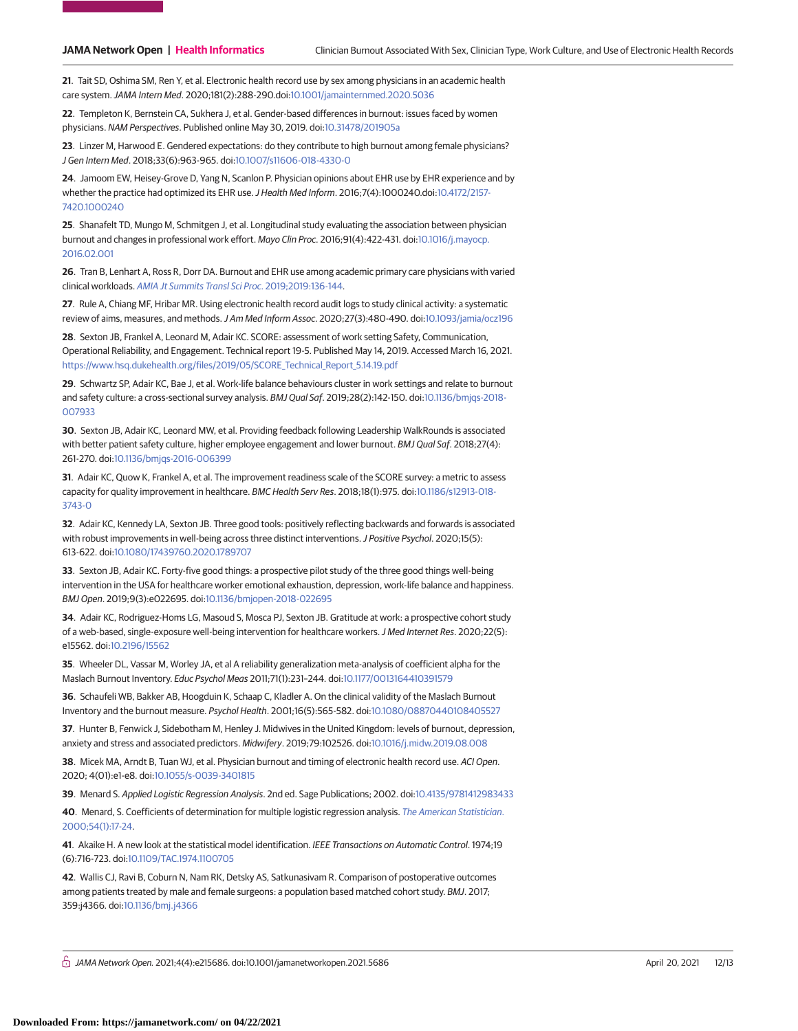**21**. Tait SD, Oshima SM, Ren Y, et al. Electronic health record use by sex among physicians in an academic health care system.JAMA Intern Med. 2020;181(2):288-290.doi[:10.1001/jamainternmed.2020.5036](https://jama.jamanetwork.com/article.aspx?doi=10.1001/jamainternmed.2020.5036&utm_campaign=articlePDF%26utm_medium=articlePDFlink%26utm_source=articlePDF%26utm_content=jamanetworkopen.2021.5686)

**22**. Templeton K, Bernstein CA, Sukhera J, et al. Gender-based differences in burnout: issues faced by women physicians. NAM Perspectives. Published online May 30, 2019. doi[:10.31478/201905a](https://dx.doi.org/10.31478/201905a)

**23**. Linzer M, Harwood E. Gendered expectations: do they contribute to high burnout among female physicians? J Gen Intern Med. 2018;33(6):963-965. doi[:10.1007/s11606-018-4330-0](https://dx.doi.org/10.1007/s11606-018-4330-0)

**24**. Jamoom EW, Heisey-Grove D, Yang N, Scanlon P. Physician opinions about EHR use by EHR experience and by whether the practice had optimized its EHR use. J Health Med Inform. 2016;7(4):1000240.doi[:10.4172/2157-](https://dx.doi.org/10.4172/2157-7420.1000240) [7420.1000240](https://dx.doi.org/10.4172/2157-7420.1000240)

**25**. Shanafelt TD, Mungo M, Schmitgen J, et al. Longitudinal study evaluating the association between physician burnout and changes in professional work effort. Mayo Clin Proc. 2016;91(4):422-431. doi[:10.1016/j.mayocp.](https://dx.doi.org/10.1016/j.mayocp.2016.02.001) [2016.02.001](https://dx.doi.org/10.1016/j.mayocp.2016.02.001)

**26**. Tran B, Lenhart A, Ross R, Dorr DA. Burnout and EHR use among academic primary care physicians with varied clinical workloads. [AMIA Jt Summits Transl Sci Proc](https://www.ncbi.nlm.nih.gov/pubmed/31258965). 2019;2019:136-144.

**27**. Rule A, Chiang MF, Hribar MR. Using electronic health record audit logs to study clinical activity: a systematic review of aims, measures, and methods.J Am Med Inform Assoc. 2020;27(3):480-490. doi[:10.1093/jamia/ocz196](https://dx.doi.org/10.1093/jamia/ocz196)

**28**. Sexton JB, Frankel A, Leonard M, Adair KC. SCORE: assessment of work setting Safety, Communication, Operational Reliability, and Engagement. Technical report 19-5. Published May 14, 2019. Accessed March 16, 2021. [https://www.hsq.dukehealth.org/files/2019/05/SCORE\\_Technical\\_Report\\_5.14.19.pdf](https://www.hsq.dukehealth.org/files/2019/05/SCORE_Technical_Report_5.14.19.pdf)

**29**. Schwartz SP, Adair KC, Bae J, et al. Work-life balance behaviours cluster in work settings and relate to burnout and safety culture: a cross-sectional survey analysis. BMJ Qual Saf. 2019;28(2):142-150. doi[:10.1136/bmjqs-2018-](https://dx.doi.org/10.1136/bmjqs-2018-007933) [007933](https://dx.doi.org/10.1136/bmjqs-2018-007933)

**30**. Sexton JB, Adair KC, Leonard MW, et al. Providing feedback following Leadership WalkRounds is associated with better patient safety culture, higher employee engagement and lower burnout. BMJ Qual Saf. 2018;27(4): 261-270. doi[:10.1136/bmjqs-2016-006399](https://dx.doi.org/10.1136/bmjqs-2016-006399)

**31**. Adair KC, Quow K, Frankel A, et al. The improvement readiness scale of the SCORE survey: a metric to assess capacity for quality improvement in healthcare. BMC Health Serv Res. 2018;18(1):975. doi[:10.1186/s12913-018-](https://dx.doi.org/10.1186/s12913-018-3743-0) [3743-0](https://dx.doi.org/10.1186/s12913-018-3743-0)

**32**. Adair KC, Kennedy LA, Sexton JB. Three good tools: positively reflecting backwards and forwards is associated with robust improvements in well-being across three distinct interventions. J Positive Psychol. 2020;15(5): 613-622. doi[:10.1080/17439760.2020.1789707](https://dx.doi.org/10.1080/17439760.2020.1789707)

**33**. Sexton JB, Adair KC. Forty-five good things: a prospective pilot study of the three good things well-being intervention in the USA for healthcare worker emotional exhaustion, depression, work-life balance and happiness. BMJ Open. 2019;9(3):e022695. doi[:10.1136/bmjopen-2018-022695](https://dx.doi.org/10.1136/bmjopen-2018-022695)

**34**. Adair KC, Rodriguez-Homs LG, Masoud S, Mosca PJ, Sexton JB. Gratitude at work: a prospective cohort study of a web-based, single-exposure well-being intervention for healthcare workers.J Med Internet Res. 2020;22(5): e15562. doi[:10.2196/15562](https://dx.doi.org/10.2196/15562)

**35**. Wheeler DL, Vassar M, Worley JA, et al A reliability generalization meta-analysis of coefficient alpha for the Maslach Burnout Inventory. Educ Psychol Meas 2011;71(1):231–244. doi[:10.1177/0013164410391579](https://dx.doi.org/10.1177/0013164410391579)

**36**. Schaufeli WB, Bakker AB, Hoogduin K, Schaap C, Kladler A. On the clinical validity of the Maslach Burnout Inventory and the burnout measure. Psychol Health. 2001;16(5):565-582. doi[:10.1080/08870440108405527](https://dx.doi.org/10.1080/08870440108405527)

**37**. Hunter B, Fenwick J, Sidebotham M, Henley J. Midwives in the United Kingdom: levels of burnout, depression, anxiety and stress and associated predictors. Midwifery. 2019;79:102526. doi[:10.1016/j.midw.2019.08.008](https://dx.doi.org/10.1016/j.midw.2019.08.008)

**38**. Micek MA, Arndt B, Tuan WJ, et al. Physician burnout and timing of electronic health record use. ACI Open. 2020; 4(01):e1-e8. doi[:10.1055/s-0039-3401815](https://dx.doi.org/10.1055/s-0039-3401815)

**39**. Menard S. Applied Logistic Regression Analysis. 2nd ed. Sage Publications; 2002. doi[:10.4135/9781412983433](https://dx.doi.org/10.4135/9781412983433)

**40**. Menard, S. Coefficients of determination for multiple logistic regression analysis. [The American Statistician](link.gale.com/apps/doc/A62287389/AONE?u=912online&sid=AONE&xid=5ca1a5c5). [2000;54\(1\):17-24.](link.gale.com/apps/doc/A62287389/AONE?u=912online&sid=AONE&xid=5ca1a5c5)

**41**. Akaike H. A new look at the statistical model identification. IEEE Transactions on Automatic Control. 1974;19 (6):716-723. doi[:10.1109/TAC.1974.1100705](https://dx.doi.org/10.1109/TAC.1974.1100705)

**42**. Wallis CJ, Ravi B, Coburn N, Nam RK, Detsky AS, Satkunasivam R. Comparison of postoperative outcomes among patients treated by male and female surgeons: a population based matched cohort study. BMJ. 2017; 359:j4366. doi[:10.1136/bmj.j4366](https://dx.doi.org/10.1136/bmj.j4366)

 $\bigcap$  JAMA Network Open. 2021;4(4):e215686. doi:10.1001/jamanetworkopen.2021.5686 (Reprinted) April 20, 2021 12/13